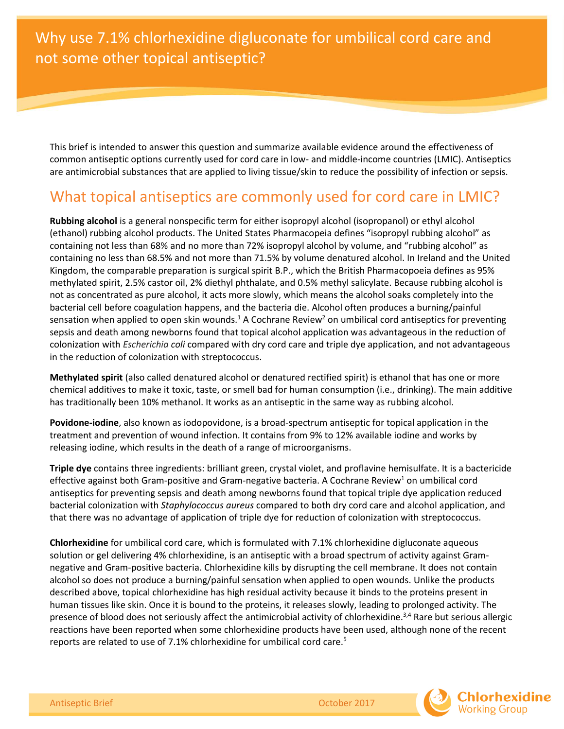This brief is intended to answer this question and summarize available evidence around the effectiveness of common antiseptic options currently used for cord care in low- and middle-income countries (LMIC). Antiseptics are [antimicrobial substances](https://en.wikipedia.org/wiki/Antimicrobial) that are applied to living [tissue](https://en.wikipedia.org/wiki/Biological_tissue)[/skin](https://en.wikipedia.org/wiki/Skin) to reduce the possibility of [infection](https://en.wikipedia.org/wiki/Infection) or [sepsis.](https://en.wikipedia.org/wiki/Sepsis)

## What topical antiseptics are commonly used for cord care in LMIC?

**Rubbing alcohol** is a general nonspecific term for either isopropyl alcohol (isopropanol) or ethyl alcohol (ethanol) rubbing alcohol products. The United States Pharmacopeia defines "isopropyl rubbing alcohol" as containing not less than 68% and no more than 72% isopropyl alcohol by volume, and "rubbing alcohol" as containing no less than 68.5% and not more than 71.5% by volume denatured alcohol. In Ireland and the United Kingdom, the comparable preparation is surgical spirit [B.P.,](https://en.wikipedia.org/wiki/British_Pharmacopoeia) which the British Pharmacopoeia defines as 95% methylated spirit, 2.5% castor oil, 2% diethyl phthalate, and 0.5% [methyl salicylate.](https://en.wikipedia.org/wiki/Methyl_salicylate) Because rubbing alcohol is not as concentrated as pure alcohol, it acts more slowly, which means the alcohol soaks completely into the bacterial cell before coagulation happens, and the bacteria die. Alcohol often produces a burning/painful sensation when applied to open skin wounds.<sup>1</sup> A Cochrane Review<sup>2</sup> on umbilical cord antiseptics for preventing sepsis and death among newborns found that topical alcohol application was advantageous in the reduction of colonization with *Escherichia coli* compared with dry cord care and triple dye application, and not advantageous in the reduction of colonization with streptococcus.

**Methylated spirit** (also called denatured alcohol or denatured rectified spirit) is ethanol that has one or more chemical additives to make it toxic, taste, or smell bad for human consumption (i.e., drinking). The main additive has traditionally been 10% methanol. It works as an antiseptic in the same way as rubbing alcohol.

**Povidone-iodine**, also known as iodopovidone, is a broad-spectrum antiseptic for topical application in the treatment and prevention of [wound infection.](https://en.wikipedia.org/wiki/Wound_infection) It contains from 9% to 12% available iodine and works by releasing iodine, which results in the death of a range of [microorganisms.](https://en.wikipedia.org/wiki/Microorganisms)

**Triple dye** contains three ingredients: brilliant green, crystal violet, and proflavine hemisulfate. It is a bactericide effective against both Gram-positive and Gram-negative bacteria. A Cochrane Review<sup>1</sup> on umbilical cord antiseptics for preventing sepsis and death among newborns found that topical triple dye application reduced bacterial colonization with *Staphylococcus aureus* compared to both dry cord care and alcohol application, and that there was no advantage of application of triple dye for reduction of colonization with streptococcus.

**Chlorhexidine** for umbilical cord care, which is formulated with 7.1% chlorhexidine digluconate aqueous solution or gel delivering 4% chlorhexidine, is an antiseptic with a broad spectrum of activity against Gramnegative and Gram-positive bacteria. Chlorhexidine kills by disrupting the cell membrane. It does not contain alcohol so does not produce a burning/painful sensation when applied to open wounds. Unlike the products described above, topical chlorhexidine has high residual activity because it binds to the proteins present in human tissues like skin. Once it is bound to the proteins, it releases slowly, leading to prolonged activity. The presence of blood does not seriously affect the antimicrobial activity of chlorhexidine.<sup>3,4</sup> Rare but serious allergic reactions have been reported when some chlorhexidine products have been used, although none of the recent reports are related to use of 7.1% chlorhexidine for umbilical cord care.<sup>5</sup>